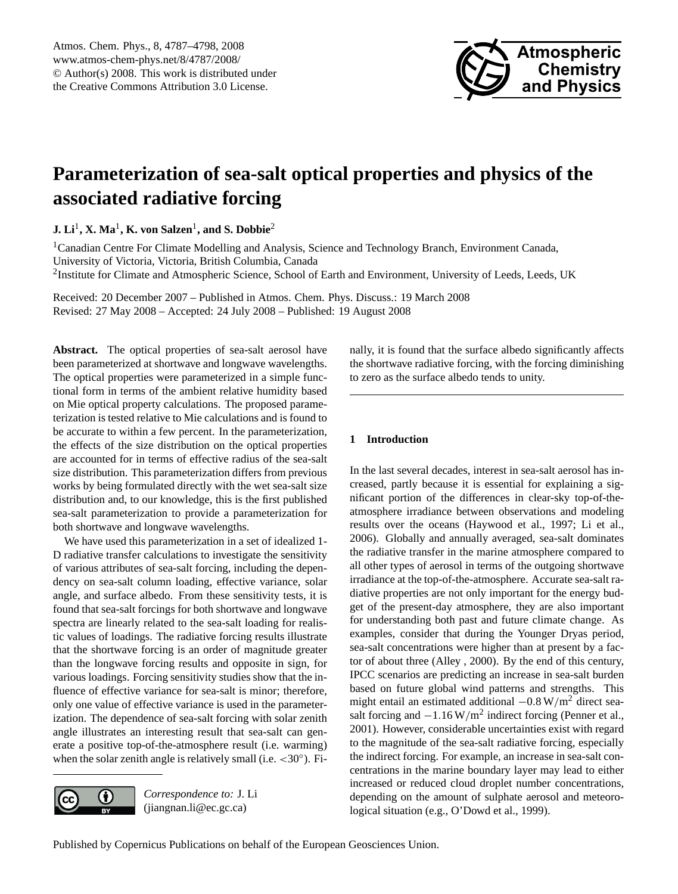

# <span id="page-0-0"></span>**Parameterization of sea-salt optical properties and physics of the associated radiative forcing**

 $\mathbf{J}.~\mathbf{L} \mathbf{i}^1, \mathbf{X}.~\mathbf{M} \mathbf{a}^1, \mathbf{K}.$  von Salzen<sup>1</sup>, and S. Dobbie<sup>2</sup>

<sup>1</sup>Canadian Centre For Climate Modelling and Analysis, Science and Technology Branch, Environment Canada, University of Victoria, Victoria, British Columbia, Canada <sup>2</sup>Institute for Climate and Atmospheric Science, School of Earth and Environment, University of Leeds, Leeds, UK

Received: 20 December 2007 – Published in Atmos. Chem. Phys. Discuss.: 19 March 2008 Revised: 27 May 2008 – Accepted: 24 July 2008 – Published: 19 August 2008

**Abstract.** The optical properties of sea-salt aerosol have been parameterized at shortwave and longwave wavelengths. The optical properties were parameterized in a simple functional form in terms of the ambient relative humidity based on Mie optical property calculations. The proposed parameterization is tested relative to Mie calculations and is found to be accurate to within a few percent. In the parameterization, the effects of the size distribution on the optical properties are accounted for in terms of effective radius of the sea-salt size distribution. This parameterization differs from previous works by being formulated directly with the wet sea-salt size distribution and, to our knowledge, this is the first published sea-salt parameterization to provide a parameterization for both shortwave and longwave wavelengths.

We have used this parameterization in a set of idealized 1- D radiative transfer calculations to investigate the sensitivity of various attributes of sea-salt forcing, including the dependency on sea-salt column loading, effective variance, solar angle, and surface albedo. From these sensitivity tests, it is found that sea-salt forcings for both shortwave and longwave spectra are linearly related to the sea-salt loading for realistic values of loadings. The radiative forcing results illustrate that the shortwave forcing is an order of magnitude greater than the longwave forcing results and opposite in sign, for various loadings. Forcing sensitivity studies show that the influence of effective variance for sea-salt is minor; therefore, only one value of effective variance is used in the parameterization. The dependence of sea-salt forcing with solar zenith angle illustrates an interesting result that sea-salt can generate a positive top-of-the-atmosphere result (i.e. warming) when the solar zenith angle is relatively small (i.e.  $<$ 30°). Fi-



*Correspondence to:* J. Li (jiangnan.li@ec.gc.ca)

nally, it is found that the surface albedo significantly affects the shortwave radiative forcing, with the forcing diminishing to zero as the surface albedo tends to unity.

# **1 Introduction**

In the last several decades, interest in sea-salt aerosol has increased, partly because it is essential for explaining a significant portion of the differences in clear-sky top-of-theatmosphere irradiance between observations and modeling results over the oceans [\(Haywood et al.,](#page-10-0) [1997;](#page-10-0) [Li et al.,](#page-10-1) [2006\)](#page-10-1). Globally and annually averaged, sea-salt dominates the radiative transfer in the marine atmosphere compared to all other types of aerosol in terms of the outgoing shortwave irradiance at the top-of-the-atmosphere. Accurate sea-salt radiative properties are not only important for the energy budget of the present-day atmosphere, they are also important for understanding both past and future climate change. As examples, consider that during the Younger Dryas period, sea-salt concentrations were higher than at present by a factor of about three [\(Alley](#page-10-2) , [2000\)](#page-10-2). By the end of this century, IPCC scenarios are predicting an increase in sea-salt burden based on future global wind patterns and strengths. This might entail an estimated additional  $-0.8 \text{ W/m}^2$  direct seasalt forcing and  $-1.16 \,\mathrm{W/m^2}$  indirect forcing [\(Penner et al.,](#page-10-3) [2001\)](#page-10-3). However, considerable uncertainties exist with regard to the magnitude of the sea-salt radiative forcing, especially the indirect forcing. For example, an increase in sea-salt concentrations in the marine boundary layer may lead to either increased or reduced cloud droplet number concentrations, depending on the amount of sulphate aerosol and meteorological situation (e.g., [O'Dowd et al.,](#page-10-4) [1999\)](#page-10-4).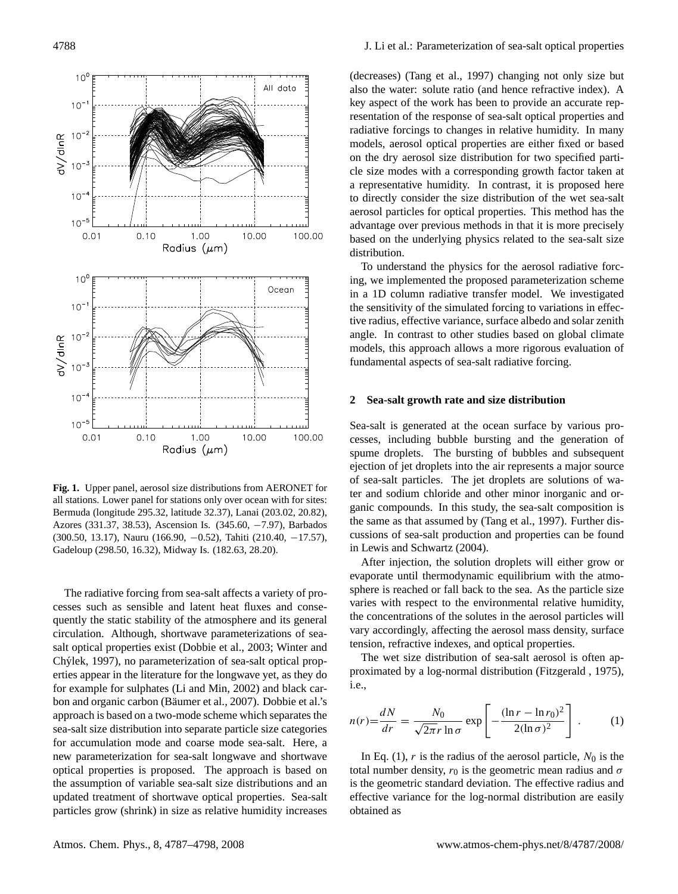

<span id="page-1-0"></span>Azores (331.37, 38.53), Ascension Is. (345.60,  $-7.97$ ), Barbados the same as that assu (300.50, 13.17), Nauru (166.90,  $-0.52$ ), Tahiti (210.40,  $-17.57$ ), cussions of sea-salt  $\alpha$  Gadeloup (298.50, 16.32), Midway Is. (182.63, 28.20). In Lewis and Schwa **Fig. 1.** Upper panel, aerosol size distributions from AERONET for all stations. Lower panel for stations only over ocean with for sites: Bermuda (longitude 295.32, latitude 32.37), Lanai (203.02, 20.82),

Chýlek, [1997\)](#page-11-0), no parameterization of sea-salt optical prop-The radiative forcing from sea-salt affects a variety of processes such as sensible and latent heat fluxes and consequently the static stability of the atmosphere and its general circulation. Although, shortwave parameterizations of seasalt optical properties exist [\(Dobbie et al.,](#page-10-5) [2003;](#page-10-5) [Winter and](#page-11-0) erties appear in the literature for the longwave yet, as they do for example for sulphates [\(Li and Min,](#page-10-6) [2002\)](#page-10-6) and black car-bon and organic carbon (Bäumer et al., [2007\)](#page-10-7). Dobbie et al.'s approach is based on a two-mode scheme which separates the sea-salt size distribution into separate particle size categories for accumulation mode and coarse mode sea-salt. Here, a new parameterization for sea-salt longwave and shortwave optical properties is proposed. The approach is based on the assumption of variable sea-salt size distributions and an updated treatment of shortwave optical properties. Sea-salt particles grow (shrink) in size as relative humidity increases

(decreases) [\(Tang et al.,](#page-11-1) [1997\)](#page-11-1) changing not only size but also the water: solute ratio (and hence refractive index). A key aspect of the work has been to provide an accurate representation of the response of sea-salt optical properties and radiative forcings to changes in relative humidity. In many models, aerosol optical properties are either fixed or based on the dry aerosol size distribution for two specified particle size modes with a corresponding growth factor taken at a representative humidity. In contrast, it is proposed here to directly consider the size distribution of the wet sea-salt aerosol particles for optical properties. This method has the advantage over previous methods in that it is more precisely based on the underlying physics related to the sea-salt size distribution.

To understand the physics for the aerosol radiative forcing, we implemented the proposed parameterization scheme in a 1D column radiative transfer model. We investigated the sensitivity of the simulated forcing to variations in effective radius, effective variance, surface albedo and solar zenith angle. In contrast to other studies based on global climate models, this approach allows a more rigorous evaluation of fundamental aspects of sea-salt radiative forcing.

## **2 Sea-salt growth rate and size distribution**

Sea-salt is generated at the ocean surface by various processes, including bubble bursting and the generation of spume droplets. The bursting of bubbles and subsequent ejection of jet droplets into the air represents a major source of sea-salt particles. The jet droplets are solutions of water and sodium chloride and other minor inorganic and organic compounds. In this study, the sea-salt composition is the same as that assumed by [\(Tang et al.,](#page-11-1) [1997\)](#page-11-1). Further discussions of sea-salt production and properties can be found in [Lewis and Schwartz](#page-10-8) [\(2004\)](#page-10-8).

After injection, the solution droplets will either grow or evaporate until thermodynamic equilibrium with the atmosphere is reached or fall back to the sea. As the particle size varies with respect to the environmental relative humidity, the concentrations of the solutes in the aerosol particles will vary accordingly, affecting the aerosol mass density, surface tension, refractive indexes, and optical properties.

The wet size distribution of sea-salt aerosol is often approximated by a log-normal distribution [\(Fitzgerald](#page-10-9) , [1975\)](#page-10-9), i.e.,

$$
n(r) = \frac{dN}{dr} = \frac{N_0}{\sqrt{2\pi}r\ln\sigma} \exp\left[-\frac{(\ln r - \ln r_0)^2}{2(\ln\sigma)^2}\right].
$$
 (1)

In Eq. (1), r is the radius of the aerosol particle,  $N_0$  is the total number density,  $r_0$  is the geometric mean radius and  $\sigma$ is the geometric standard deviation. The effective radius and effective variance for the log-normal distribution are easily obtained as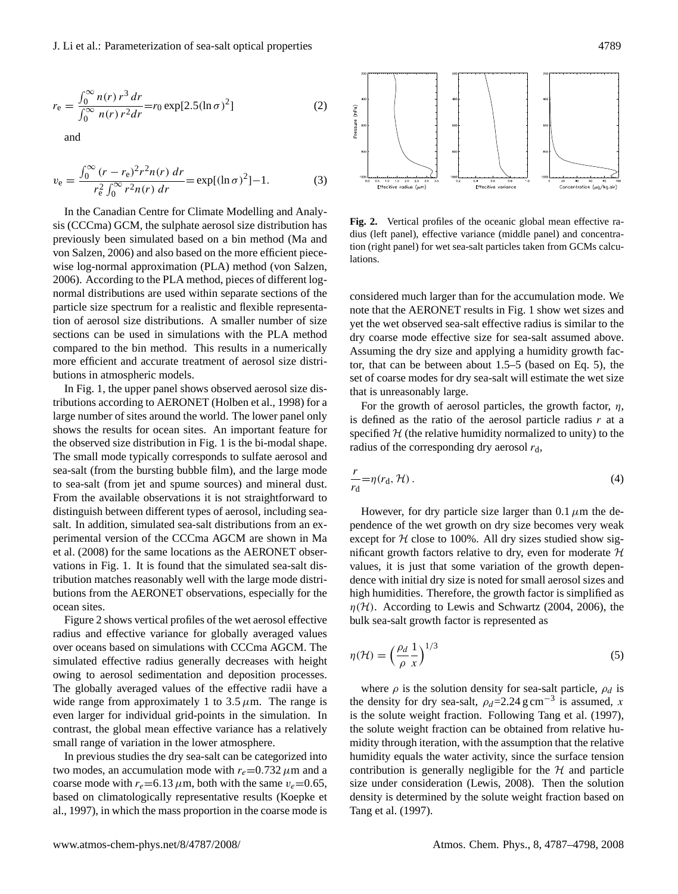$$
r_{\rm e} = \frac{\int_0^\infty n(r) \, r^3 \, dr}{\int_0^\infty n(r) \, r^2 dr} = r_0 \exp[2.5(\ln \sigma)^2]
$$
 (2)

and

$$
v_{\rm e} = \frac{\int_0^\infty (r - r_{\rm e})^2 r^2 n(r) \, dr}{r_{\rm e}^2 \int_0^\infty r^2 n(r) \, dr} = \exp[(\ln \sigma)^2] - 1. \tag{3}
$$

In the Canadian Centre for Climate Modelling and Analysis (CCCma) GCM, the sulphate aerosol size distribution has previously been simulated based on a bin method [\(Ma and](#page-10-10) [von Salzen,](#page-10-10) [2006\)](#page-10-10) and also based on the more efficient piecewise log-normal approximation (PLA) method [\(von Salzen,](#page-11-2) [2006\)](#page-11-2). According to the PLA method, pieces of different lognormal distributions are used within separate sections of the particle size spectrum for a realistic and flexible representation of aerosol size distributions. A smaller number of size sections can be used in simulations with the PLA method compared to the bin method. This results in a numerically more efficient and accurate treatment of aerosol size distributions in atmospheric models.

In Fig. [1,](#page-1-0) the upper panel shows observed aerosol size distributions according to AERONET [\(Holben et al.,](#page-10-11) [1998\)](#page-10-11) for a large number of sites around the world. The lower panel only shows the results for ocean sites. An important feature for the observed size distribution in Fig. [1](#page-1-0) is the bi-modal shape. The small mode typically corresponds to sulfate aerosol and sea-salt (from the bursting bubble film), and the large mode to sea-salt (from jet and spume sources) and mineral dust. From the available observations it is not straightforward to distinguish between different types of aerosol, including seasalt. In addition, simulated sea-salt distributions from an experimental version of the CCCma AGCM are shown in Ma et al. (2008) for the same locations as the AERONET observations in Fig. [1.](#page-1-0) It is found that the simulated sea-salt distribution matches reasonably well with the large mode distributions from the AERONET observations, especially for the ocean sites.

Figure [2](#page-2-0) shows vertical profiles of the wet aerosol effective radius and effective variance for globally averaged values over oceans based on simulations with CCCma AGCM. The simulated effective radius generally decreases with height owing to aerosol sedimentation and deposition processes. The globally averaged values of the effective radii have a wide range from approximately 1 to  $3.5 \mu$ m. The range is even larger for individual grid-points in the simulation. In contrast, the global mean effective variance has a relatively small range of variation in the lower atmosphere.

In previous studies the dry sea-salt can be categorized into two modes, an accumulation mode with  $r_e$ =0.732  $\mu$ m and a coarse mode with  $r_e = 6.13 \mu$ m, both with the same  $v_e = 0.65$ , based on climatologically representative results [\(Koepke et](#page-10-12) [al.,](#page-10-12) [1997\)](#page-10-12), in which the mass proportion in the coarse mode is



<span id="page-2-0"></span>tion (right panel) for wet sea-salt particles taken from GCMs calcupanel) and concentration (right panel) for wet sea-salt particles taken from GCMs calculations. **Fig. 2.** Vertical profiles of the oceanic global mean effective radius (left panel), effective variance (middle panel) and concentralations.

dry coarse mode effective size for sea-salt assumed above. considered much larger than for the accumulation mode. We note that the AERONET results in Fig. [1](#page-1-0) show wet sizes and yet the wet observed sea-salt effective radius is similar to the Assuming the dry size and applying a humidity growth factor, that can be between about 1.5–5 (based on Eq. 5), the set of coarse modes for dry sea-salt will estimate the wet size that is unreasonably large.

For the growth of aerosol particles, the growth factor,  $\eta$ , is defined as the ratio of the aerosol particle radius  $r$  at a specified  $H$  (the relative humidity normalized to unity) to the radius of the corresponding dry aerosol  $r_d$ ,

$$
\frac{r}{r_{\rm d}} = \eta(r_{\rm d}, \mathcal{H})\,. \tag{4}
$$

However, for dry particle size larger than  $0.1 \mu m$  the dependence of the wet growth on dry size becomes very weak except for  $H$  close to 100%. All dry sizes studied show significant growth factors relative to dry, even for moderate  $H$ values, it is just that some variation of the growth dependence with initial dry size is noted for small aerosol sizes and high humidities. Therefore, the growth factor is simplified as  $\eta(\mathcal{H})$ . According to [Lewis and Schwartz](#page-10-8) [\(2004,](#page-10-8) [2006\)](#page-10-13), the bulk sea-salt growth factor is represented as

$$
\eta(\mathcal{H}) = \left(\frac{\rho_d}{\rho} \frac{1}{x}\right)^{1/3} \tag{5}
$$

where  $\rho$  is the solution density for sea-salt particle,  $\rho_d$  is the density for dry sea-salt,  $\rho_d = 2.24$  g cm<sup>-3</sup> is assumed, x is the solute weight fraction. Following [Tang et al.](#page-11-1) [\(1997\)](#page-11-1), the solute weight fraction can be obtained from relative humidity through iteration, with the assumption that the relative humidity equals the water activity, since the surface tension contribution is generally negligible for the  $H$  and particle size under consideration [\(Lewis,](#page-10-14) [2008\)](#page-10-14). Then the solution density is determined by the solute weight fraction based on [Tang et al.](#page-11-1) [\(1997\)](#page-11-1).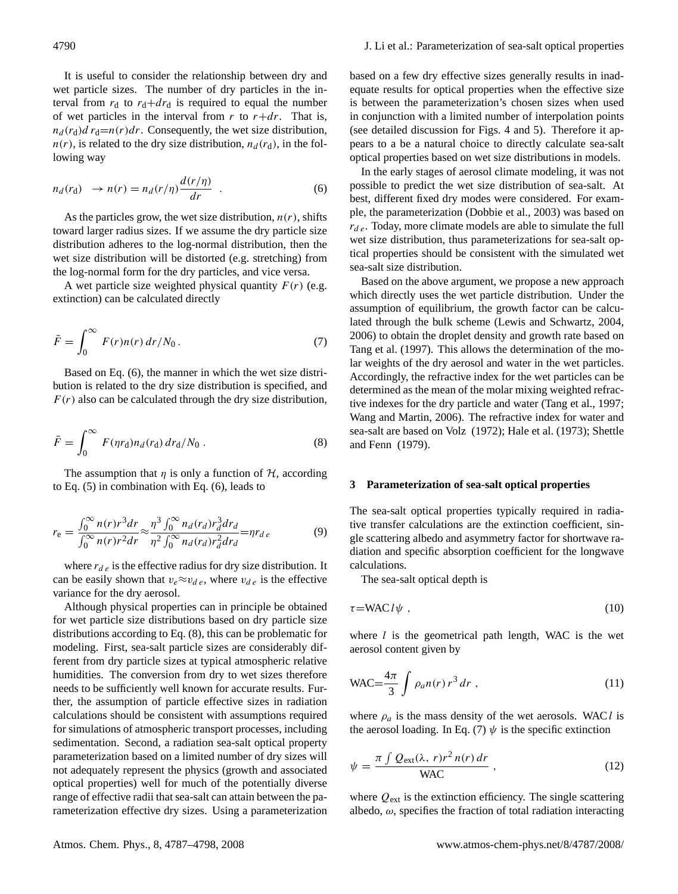It is useful to consider the relationship between dry and wet particle sizes. The number of dry particles in the interval from  $r_d$  to  $r_d + dr_d$  is required to equal the number of wet particles in the interval from r to  $r+dr$ . That is,  $n_d(r_d)d\,r_d=n(r)dr$ . Consequently, the wet size distribution,  $n(r)$ , is related to the dry size distribution,  $n_d(r_d)$ , in the following way

$$
n_d(r_d) \rightarrow n(r) = n_d(r/\eta) \frac{d(r/\eta)}{dr} . \tag{6}
$$

As the particles grow, the wet size distribution,  $n(r)$ , shifts toward larger radius sizes. If we assume the dry particle size distribution adheres to the log-normal distribution, then the wet size distribution will be distorted (e.g. stretching) from the log-normal form for the dry particles, and vice versa.

A wet particle size weighted physical quantity  $F(r)$  (e.g. extinction) can be calculated directly

$$
\bar{F} = \int_0^\infty F(r)n(r) dr/N_0.
$$
\n(7)

Based on Eq. (6), the manner in which the wet size distribution is related to the dry size distribution is specified, and  $F(r)$  also can be calculated through the dry size distribution,

$$
\bar{F} = \int_0^\infty F(\eta r_\mathrm{d}) n_d(r_\mathrm{d}) \, dr_\mathrm{d}/N_0 \,. \tag{8}
$$

The assumption that  $\eta$  is only a function of  $H$ , according to Eq. (5) in combination with Eq. (6), leads to

$$
r_{\rm e} = \frac{\int_0^\infty n(r)r^3 dr}{\int_0^\infty n(r)r^2 dr} \approx \frac{\eta^3 \int_0^\infty n_d(r_d)r_d^3 dr_d}{\eta^2 \int_0^\infty n_d(r_d)r_d^2 dr_d} = \eta r_{d\,e} \tag{9}
$$

where  $r_{d}$  e is the effective radius for dry size distribution. It can be easily shown that  $v_e \approx v_{de}$ , where  $v_{de}$  is the effective variance for the dry aerosol.

Although physical properties can in principle be obtained for wet particle size distributions based on dry particle size distributions according to Eq. (8), this can be problematic for modeling. First, sea-salt particle sizes are considerably different from dry particle sizes at typical atmospheric relative humidities. The conversion from dry to wet sizes therefore needs to be sufficiently well known for accurate results. Further, the assumption of particle effective sizes in radiation calculations should be consistent with assumptions required for simulations of atmospheric transport processes, including sedimentation. Second, a radiation sea-salt optical property parameterization based on a limited number of dry sizes will not adequately represent the physics (growth and associated optical properties) well for much of the potentially diverse range of effective radii that sea-salt can attain between the parameterization effective dry sizes. Using a parameterization based on a few dry effective sizes generally results in inadequate results for optical properties when the effective size is between the parameterization's chosen sizes when used in conjunction with a limited number of interpolation points (see detailed discussion for Figs. [4](#page-6-0) and [5\)](#page-7-0). Therefore it appears to a be a natural choice to directly calculate sea-salt optical properties based on wet size distributions in models.

In the early stages of aerosol climate modeling, it was not possible to predict the wet size distribution of sea-salt. At best, different fixed dry modes were considered. For example, the parameterization [\(Dobbie et al.,](#page-10-5) [2003\)](#page-10-5) was based on  $r_{de}$ . Today, more climate models are able to simulate the full wet size distribution, thus parameterizations for sea-salt optical properties should be consistent with the simulated wet sea-salt size distribution.

Based on the above argument, we propose a new approach which directly uses the wet particle distribution. Under the assumption of equilibrium, the growth factor can be calculated through the bulk scheme [\(Lewis and Schwartz,](#page-10-8) [2004,](#page-10-8) [2006\)](#page-10-13) to obtain the droplet density and growth rate based on [Tang et al.](#page-11-1) [\(1997\)](#page-11-1). This allows the determination of the molar weights of the dry aerosol and water in the wet particles. Accordingly, the refractive index for the wet particles can be determined as the mean of the molar mixing weighted refractive indexes for the dry particle and water [\(Tang et al.,](#page-11-1) [1997;](#page-11-1) [Wang and Martin,](#page-11-3) [2006\)](#page-11-3). The refractive index for water and sea-salt are based on [Volz](#page-11-4) [\(1972\)](#page-11-4); [Hale et al.](#page-10-15) [\(1973\)](#page-10-15); [Shettle](#page-10-16) [and Fenn](#page-10-16) [\(1979\)](#page-10-16).

#### **3 Parameterization of sea-salt optical properties**

The sea-salt optical properties typically required in radiative transfer calculations are the extinction coefficient, single scattering albedo and asymmetry factor for shortwave radiation and specific absorption coefficient for the longwave calculations.

The sea-salt optical depth is

$$
\tau = WAC \, l\psi \tag{10}
$$

where  $l$  is the geometrical path length, WAC is the wet aerosol content given by

$$
\text{WAC} = \frac{4\pi}{3} \int \rho_a n(r) r^3 dr \tag{11}
$$

where  $\rho_a$  is the mass density of the wet aerosols. WAC l is the aerosol loading. In Eq. (7)  $\psi$  is the specific extinction

$$
\psi = \frac{\pi \int Q_{\text{ext}}(\lambda, r) r^2 n(r) dr}{\text{WAC}} , \qquad (12)
$$

where  $Q_{\text{ext}}$  is the extinction efficiency. The single scattering albedo,  $\omega$ , specifies the fraction of total radiation interacting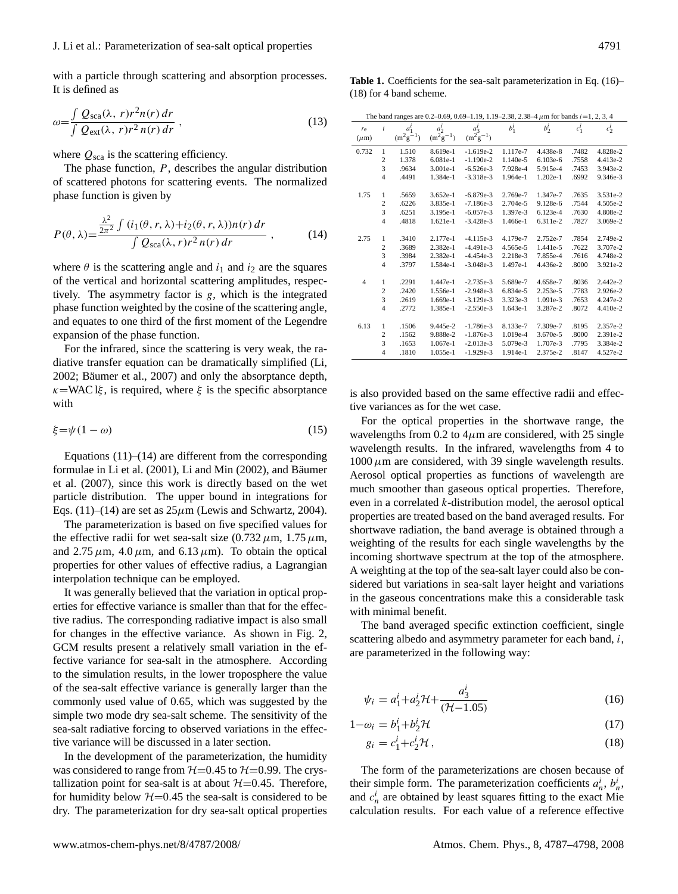with a particle through scattering and absorption processes. It is defined as

$$
\omega = \frac{\int Q_{\text{sca}}(\lambda, r) r^2 n(r) dr}{\int Q_{\text{ext}}(\lambda, r) r^2 n(r) dr}, \qquad (13)
$$

where  $Q_{\text{sca}}$  is the scattering efficiency.

The phase function, P, describes the angular distribution of scattered photons for scattering events. The normalized phase function is given by

$$
P(\theta, \lambda) = \frac{\frac{\lambda^2}{2\pi^2} \int (i_1(\theta, r, \lambda) + i_2(\theta, r, \lambda)) n(r) dr}{\int Q_{\text{scal}}(\lambda, r) r^2 n(r) dr}, \qquad (14)
$$

where  $\theta$  is the scattering angle and  $i_1$  and  $i_2$  are the squares of the vertical and horizontal scattering amplitudes, respectively. The asymmetry factor is g, which is the integrated phase function weighted by the cosine of the scattering angle, and equates to one third of the first moment of the Legendre expansion of the phase function.

For the infrared, since the scattering is very weak, the radiative transfer equation can be dramatically simplified [\(Li,](#page-10-17) [2002;](#page-10-17) Bäumer et al., [2007\)](#page-10-7) and only the absorptance depth,  $\kappa$ =WAC lξ, is required, where ξ is the specific absorptance with

$$
\xi = \psi(1 - \omega) \tag{15}
$$

Equations  $(11)$ – $(14)$  are different from the corresponding formulae in [Li et al.](#page-10-18)  $(2001)$ , [Li and Min](#page-10-6)  $(2002)$ , and Bäumer [et al.](#page-10-7) [\(2007\)](#page-10-7), since this work is directly based on the wet particle distribution. The upper bound in integrations for Eqs. (11)–(14) are set as  $25\mu$ m [\(Lewis and Schwartz,](#page-10-8) [2004\)](#page-10-8).

The parameterization is based on five specified values for the effective radii for wet sea-salt size  $(0.732 \,\mu \text{m}, 1.75 \,\mu \text{m})$ , and 2.75  $\mu$ m, 4.0  $\mu$ m, and 6.13  $\mu$ m). To obtain the optical properties for other values of effective radius, a Lagrangian interpolation technique can be employed.

It was generally believed that the variation in optical properties for effective variance is smaller than that for the effective radius. The corresponding radiative impact is also small for changes in the effective variance. As shown in Fig. [2,](#page-2-0) GCM results present a relatively small variation in the effective variance for sea-salt in the atmosphere. According to the simulation results, in the lower troposphere the value of the sea-salt effective variance is generally larger than the commonly used value of 0.65, which was suggested by the simple two mode dry sea-salt scheme. The sensitivity of the sea-salt radiative forcing to observed variations in the effective variance will be discussed in a later section.

In the development of the parameterization, the humidity was considered to range from  $H=0.45$  to  $H=0.99$ . The crystallization point for sea-salt is at about  $H=0.45$ . Therefore, for humidity below  $H=0.45$  the sea-salt is considered to be dry. The parameterization for dry sea-salt optical properties

**Table 1.** Coefficients for the sea-salt parameterization in Eq. (16)– (18) for 4 band scheme.

| $r_{e}$        | i              | $a_1^i$<br>$(m^2g-1)$ | $a^i_{\gamma}$<br>$(m^2\tilde{g}^{-1})$ | $a_3^i$<br>$(m^{2g-1})$ | $b_1^i$    | $b_2^i$    | $c_1^i$ | $c_2^i$  |
|----------------|----------------|-----------------------|-----------------------------------------|-------------------------|------------|------------|---------|----------|
| $(\mu m)$      |                |                       |                                         |                         |            |            |         |          |
| 0.732          | 1              | 1.510                 | 8.619e-1                                | $-1.619e-2$             | 1.117e-7   | 4.438e-8   | .7482   | 4.828e-2 |
|                | $\overline{2}$ | 1.378                 | $6.081e-1$                              | $-1.190e-2$             | 1.140e-5   | $6.103e-6$ | .7558   | 4.413e-2 |
|                | 3              | .9634                 | 3.001e-1                                | $-6.526e-3$             | 7.928e-4   | 5.915e-4   | .7453   | 3.943e-2 |
|                | $\overline{4}$ | .4491                 | 1.384e-1                                | $-3.318e-3$             | 1.964e-1   | $1.202e-1$ | .6992   | 9.346e-3 |
|                |                |                       |                                         |                         |            |            |         |          |
| 1.75           | 1              | .5659                 | $3.652e-1$                              | $-6.879e-3$             | 2.769e-7   | 1.347e-7   | .7635   | 3.531e-2 |
|                | 2              | .6226                 | 3.835e-1                                | $-7.186e-3$             | 2.704e-5   | 9.128e-6   | .7544   | 4.505e-2 |
|                | 3              | .6251                 | 3.195e-1                                | $-6.057e-3$             | 1.397e-3   | 6.123e-4   | .7630   | 4.808e-2 |
|                | $\overline{4}$ | .4818                 | $1.621e-1$                              | $-3.428e-3$             | 1.466e-1   | 6.311e-2   | .7827   | 3.069e-2 |
|                |                |                       |                                         |                         |            |            |         |          |
| 2.75           | 1              | .3410                 | 2.177e-1                                | $-4.115e-3$             | 4.179e-7   | 2.752e-7   | .7854   | 2.749e-2 |
|                | $\overline{c}$ | .3689                 | 2.382e-1                                | $-4.491e-3$             | 4.565e-5   | 1.441e-5   | .7622   | 3.707e-2 |
|                | 3              | .3984                 | 2.382e-1                                | $-4.454e-3$             | 2.218e-3   | 7.855e-4   | .7616   | 4.748e-2 |
|                | $\overline{4}$ | .3797                 | 1.584e-1                                | $-3.048e-3$             | 1.497e-1   | 4.436e-2   | .8000   | 3.921e-2 |
|                |                |                       |                                         |                         |            |            |         |          |
| $\overline{4}$ | 1              | .2291                 | 1.447e-1                                | $-2.735e-3$             | 5.689e-7   | 4.658e-7   | .8036   | 2.442e-2 |
|                | $\overline{2}$ | .2420                 | 1.556e-1                                | $-2.948e-3$             | 6.834e-5   | 2.253e-5   | .7783   | 2.926e-2 |
|                | 3              | .2619                 | 1.669e-1                                | $-3.129e-3$             | 3.323e-3   | 1.091e-3   | .7653   | 4.247e-2 |
|                | $\overline{4}$ | .2772                 | 1.385e-1                                | $-2.550e-3$             | $1.643e-1$ | 3.287e-2   | .8072   | 4.410e-2 |
|                |                |                       |                                         |                         |            |            |         |          |
| 6.13           | 1              | .1506                 | 9.445e-2                                | $-1.786e-3$             | 8.133e-7   | 7.309e-7   | .8195   | 2.357e-2 |
|                | 2              | .1562                 | 9.888e-2                                | $-1.876e-3$             | 1.019e-4   | 3.670e-5   | .8000   | 2.391e-2 |
|                | 3              | .1653                 | 1.067e-1                                | $-2.013e-3$             | 5.079e-3   | 1.707e-3   | .7795   | 3.384e-2 |
|                | $\overline{4}$ | .1810                 | 1.055e-1                                | $-1.929e-3$             | 1.914e-1   | 2.375e-2   | .8147   | 4.527e-2 |

is also provided based on the same effective radii and effective variances as for the wet case.

For the optical properties in the shortwave range, the wavelengths from 0.2 to  $4\mu$ m are considered, with 25 single wavelength results. In the infrared, wavelengths from 4 to  $1000 \mu$ m are considered, with 39 single wavelength results. Aerosol optical properties as functions of wavelength are much smoother than gaseous optical properties. Therefore, even in a correlated k-distribution model, the aerosol optical properties are treated based on the band averaged results. For shortwave radiation, the band average is obtained through a weighting of the results for each single wavelengths by the incoming shortwave spectrum at the top of the atmosphere. A weighting at the top of the sea-salt layer could also be considered but variations in sea-salt layer height and variations in the gaseous concentrations make this a considerable task with minimal benefit.

The band averaged specific extinction coefficient, single scattering albedo and asymmetry parameter for each band, *i*, are parameterized in the following way:

$$
\psi_i = a_1^i + a_2^i \mathcal{H} + \frac{a_3^i}{(\mathcal{H} - 1.05)}
$$
\n(16)

$$
1 - \omega_i = b_1^i + b_2^i \mathcal{H}
$$
\n<sup>(17)</sup>

$$
g_i = c_1^i + c_2^i \mathcal{H},\qquad(18)
$$

The form of the parameterizations are chosen because of their simple form. The parameterization coefficients  $a_n^i$ ,  $b_n^i$ , and  $c_n^i$  are obtained by least squares fitting to the exact Mie calculation results. For each value of a reference effective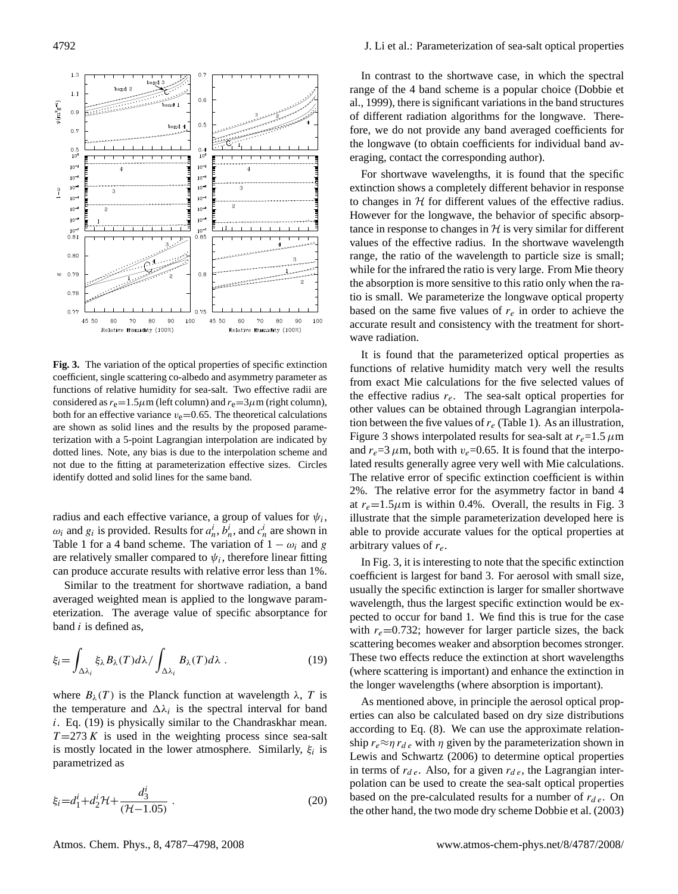

<span id="page-5-0"></span>functions of relative humidity for sea-salt. Two effective radii are considered as  $r_e=1.5\mu$ m (left column) and  $r_e=3\mu$ m (right column), both for an effective variance  $v_e$ =0.65. The theoretical calculations are shown as solid lines and the results by the proposed parameterization with a 5-point Lagrangian interpolation are indicated by dotted lines. Note, any bias is due to the interpolation scheme and **Fig. 3.** The variation of the optical properties of specific extinction coefficient, single scattering co-albedo and asymmetry parameter as not due to the fitting at parameterization effective sizes. Circles identify dotted and solid lines for the same band.

 $\omega_i$  and  $g_i$  is provided. Results for  $a_n^i$ ,  $b_n^i$ , and  $c_n^i$  are shown in radius and each effective variance, a group of values for  $\psi_i$ , Table 1 for a 4 band scheme. The variation of  $1 - \omega_i$  and g are relatively smaller compared to  $\psi_i$ , therefore linear fitting can produce accurate results with relative error less than 1%.

Similar to the treatment for shortwave radiation, a band averaged weighted mean is applied to the longwave parameterization. The average value of specific absorptance for band  $i$  is defined as,

$$
\xi_i = \int_{\Delta\lambda_i} \xi_\lambda B_\lambda(T) d\lambda / \int_{\Delta\lambda_i} B_\lambda(T) d\lambda . \tag{19}
$$

where  $B_{\lambda}(T)$  is the Planck function at wavelength  $\lambda$ , T is the temperature and  $\Delta \lambda_i$  is the spectral interval for band i. Eq. (19) is physically similar to the Chandraskhar mean.  $T=273 K$  is used in the weighting process since sea-salt is mostly located in the lower atmosphere. Similarly,  $\xi_i$  is parametrized as

$$
\xi_i = d_1^i + d_2^i \mathcal{H} + \frac{d_3^i}{(\mathcal{H} - 1.05)} \tag{20}
$$

In contrast to the shortwave case, in which the spectral range of the 4 band scheme is a popular choice [\(Dobbie et](#page-10-19) [al.,](#page-10-19) [1999\)](#page-10-19), there is significant variations in the band structures of different radiation algorithms for the longwave. Therefore, we do not provide any band averaged coefficients for the longwave (to obtain coefficients for individual band averaging, contact the corresponding author).

For shortwave wavelengths, it is found that the specific extinction shows a completely different behavior in response to changes in  $H$  for different values of the effective radius. However for the longwave, the behavior of specific absorptance in response to changes in  $H$  is very similar for different values of the effective radius. In the shortwave wavelength range, the ratio of the wavelength to particle size is small; while for the infrared the ratio is very large. From Mie theory the absorption is more sensitive to this ratio only when the ratio is small. We parameterize the longwave optical property based on the same five values of  $r_e$  in order to achieve the accurate result and consistency with the treatment for shortwave radiation.

It is found that the parameterized optical properties as functions of relative humidity match very well the results from exact Mie calculations for the five selected values of the effective radius  $r_e$ . The sea-salt optical properties for other values can be obtained through Lagrangian interpolation between the five values of  $r_e$  (Table 1). As an illustration, Figure [3](#page-5-0) shows interpolated results for sea-salt at  $r_e$ =1.5  $\mu$ m and  $r_e=3 \mu$ m, both with  $v_e=0.65$ . It is found that the interpolated results generally agree very well with Mie calculations. The relative error of specific extinction coefficient is within 2%. The relative error for the asymmetry factor in band 4 at  $r_e = 1.5 \mu m$  is within 0.4%. Overall, the results in Fig. [3](#page-5-0) illustrate that the simple parameterization developed here is able to provide accurate values for the optical properties at arbitrary values of  $r_e$ .

In Fig. [3,](#page-5-0) it is interesting to note that the specific extinction coefficient is largest for band 3. For aerosol with small size, usually the specific extinction is larger for smaller shortwave wavelength, thus the largest specific extinction would be expected to occur for band 1. We find this is true for the case with  $r_e$ =0.732; however for larger particle sizes, the back scattering becomes weaker and absorption becomes stronger. These two effects reduce the extinction at short wavelengths (where scattering is important) and enhance the extinction in the longer wavelengths (where absorption is important).

As mentioned above, in principle the aerosol optical properties can also be calculated based on dry size distributions according to Eq. (8). We can use the approximate relationship  $r_e \approx \eta r_{de}$  with  $\eta$  given by the parameterization shown in [Lewis and Schwartz](#page-10-13) [\(2006\)](#page-10-13) to determine optical properties in terms of  $r_{de}$ . Also, for a given  $r_{de}$ , the Lagrangian interpolation can be used to create the sea-salt optical properties based on the pre-calculated results for a number of  $r_{de}$ . On the other hand, the two mode dry scheme [Dobbie et al.](#page-10-5) [\(2003\)](#page-10-5)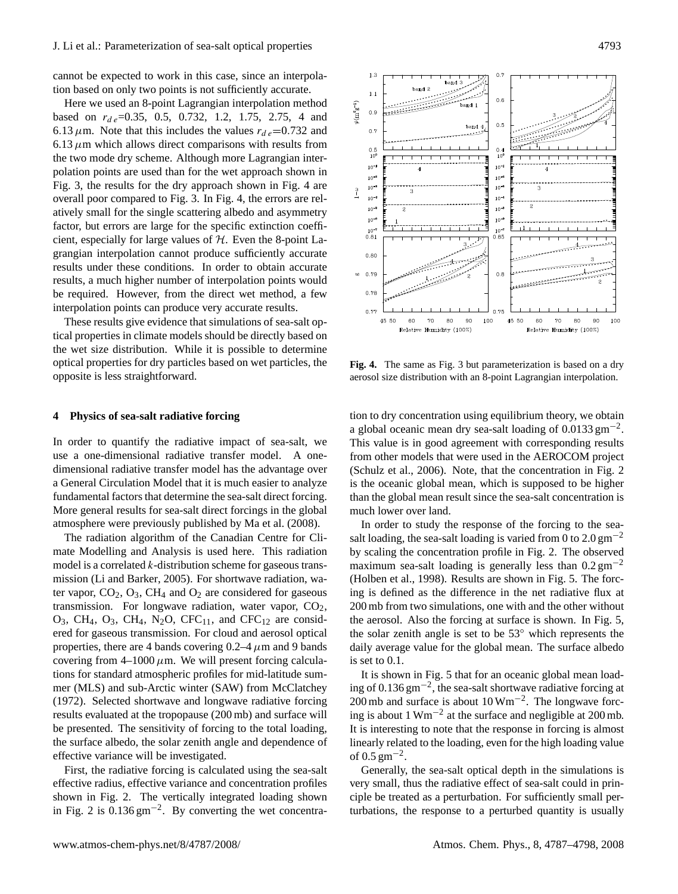cannot be expected to work in this case, since an interpolation based on only two points is not sufficiently accurate.

Here we used an 8-point Lagrangian interpolation method based on  $r_{de} = 0.35, 0.5, 0.732, 1.2, 1.75, 2.75, 4$  and 6.13  $\mu$ m. Note that this includes the values  $r_{de} = 0.732$  and  $6.13 \mu$ m which allows direct comparisons with results from the two mode dry scheme. Although more Lagrangian interpolation points are used than for the wet approach shown in Fig. [3,](#page-5-0) the results for the dry approach shown in Fig. [4](#page-6-0) are overall poor compared to Fig. [3.](#page-5-0) In Fig. [4,](#page-6-0) the errors are relatively small for the single scattering albedo and asymmetry factor, but errors are large for the specific extinction coefficient, especially for large values of  $H$ . Even the 8-point Lagrangian interpolation cannot produce sufficiently accurate results under these conditions. In order to obtain accurate results, a much higher number of interpolation points would be required. However, from the direct wet method, a few interpolation points can produce very accurate results.

These results give evidence that simulations of sea-salt optical properties in climate models should be directly based on the wet size distribution. While it is possible to determine optical properties for dry particles based on wet particles, the opposite is less straightforward.

#### **4 Physics of sea-salt radiative forcing**

In order to quantify the radiative impact of sea-salt, we use a one-dimensional radiative transfer model. A onedimensional radiative transfer model has the advantage over a General Circulation Model that it is much easier to analyze fundamental factors that determine the sea-salt direct forcing. More general results for sea-salt direct forcings in the global atmosphere were previously published by [Ma et al.](#page-10-20) [\(2008\)](#page-10-20).

The radiation algorithm of the Canadian Centre for Climate Modelling and Analysis is used here. This radiation model is a correlated k-distribution scheme for gaseous transmission [\(Li and Barker,](#page-10-21) [2005\)](#page-10-21). For shortwave radiation, water vapor,  $CO_2$ ,  $O_3$ ,  $CH_4$  and  $O_2$  are considered for gaseous transmission. For longwave radiation, water vapor,  $CO<sub>2</sub>$ ,  $O_3$ , CH<sub>4</sub>,  $O_3$ , CH<sub>4</sub>, N<sub>2</sub>O, CFC<sub>11</sub>, and CFC<sub>12</sub> are considered for gaseous transmission. For cloud and aerosol optical properties, there are 4 bands covering  $0.2-4 \mu$ m and 9 bands covering from  $4-1000 \mu m$ . We will present forcing calculations for standard atmospheric profiles for mid-latitude summer (MLS) and sub-Arctic winter (SAW) from [McClatchey](#page-10-22) [\(1972\)](#page-10-22). Selected shortwave and longwave radiative forcing results evaluated at the tropopause (200 mb) and surface will be presented. The sensitivity of forcing to the total loading, the surface albedo, the solar zenith angle and dependence of effective variance will be investigated.

First, the radiative forcing is calculated using the sea-salt effective radius, effective variance and concentration profiles shown in Fig. [2.](#page-2-0) The vertically integrated loading shown in Fig. [2](#page-2-0) is 0.136 gm−<sup>2</sup> . By converting the wet concentra-



<span id="page-6-0"></span>**Fig. 4.** The same as Fig. [3](#page-5-0) but parameterization is based on a dry aerosol size distribution with an 8-point Lagrangian interpolation.

tion to dry concentration using equilibrium theory, we obtain a global oceanic mean dry sea-salt loading of 0.0133 gm<sup>-2</sup>. This value is in good agreement with corresponding results from other models that were used in the AEROCOM project [\(Schulz et al.,](#page-10-23) [2006\)](#page-10-23). Note, that the concentration in Fig. [2](#page-2-0) is the oceanic global mean, which is supposed to be higher than the global mean result since the sea-salt concentration is much lower over land.

maximum sea-salt loading is generally less than  $0.2 \text{ gm}^{-2}$ In order to study the response of the forcing to the seasalt loading, the sea-salt loading is varied from 0 to 2.0 gm<sup>-2</sup> by scaling the concentration profile in Fig. [2.](#page-2-0) The observed [\(Holben et al.,](#page-10-11) [1998\)](#page-10-11). Results are shown in Fig. [5.](#page-7-0) The forcing is defined as the difference in the net radiative flux at 200 mb from two simulations, one with and the other without the aerosol. Also the forcing at surface is shown. In Fig. [5,](#page-7-0) the solar zenith angle is set to be 53◦ which represents the daily average value for the global mean. The surface albedo is set to 0.1.

It is shown in Fig. [5](#page-7-0) that for an oceanic global mean loading of 0.136 gm−<sup>2</sup> , the sea-salt shortwave radiative forcing at 200 mb and surface is about 10 Wm<sup>-2</sup>. The longwave forcing is about 1 Wm−<sup>2</sup> at the surface and negligible at 200 mb. It is interesting to note that the response in forcing is almost linearly related to the loading, even for the high loading value of  $0.5 \text{ gm}^{-2}$ .

Generally, the sea-salt optical depth in the simulations is very small, thus the radiative effect of sea-salt could in principle be treated as a perturbation. For sufficiently small perturbations, the response to a perturbed quantity is usually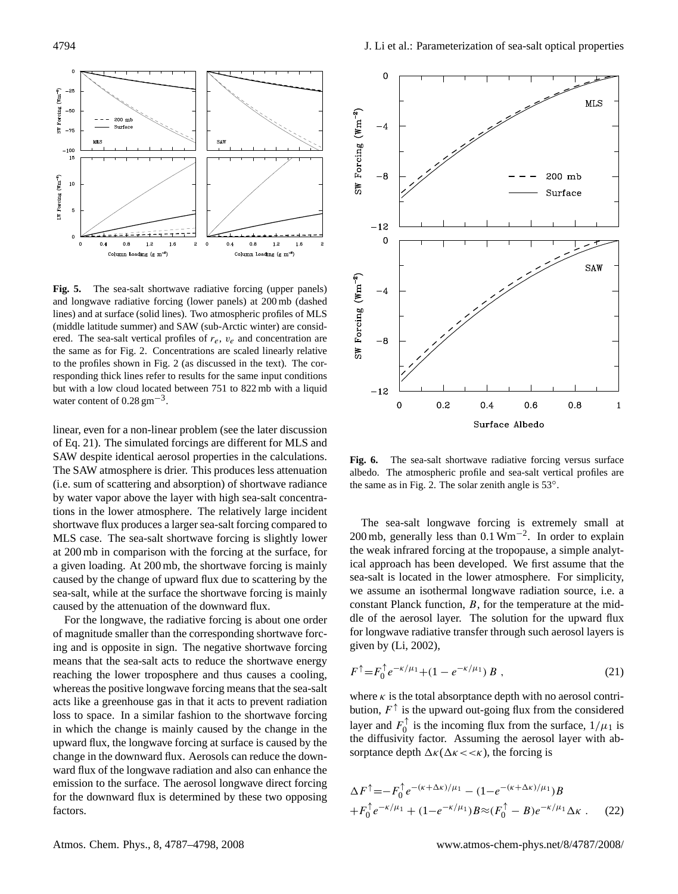

<span id="page-7-0"></span>ered. The sea-salt vertical profiles of  $r_e$ ,  $v_e$  and concentration are the same as for Fig. [2.](#page-2-0) Concentrations are scaled linearly relative to the profiles shown in Fig. 2 (as discussed in the text). [The](#page-2-0) corresponding thick lines refer to results for the same input conditions but with a low cloud located between 751 to 822 mb with a liquid water content of  $0.28 \text{ gm}^{-3}$ . **Fig. 5.** The sea-salt shortwave radiative forcing (upper panels) and longwave radiative forcing (lower panels) at 200 mb (dashed lines) and at surface (solid lines). Two atmospheric profiles of MLS (middle latitude summer) and SAW (sub-Arctic winter) are consid-

of Eq. 21). The simulated forcings are different for MLS and linear, even for a non-linear problem (see the later discussion SAW despite identical aerosol properties in the calculations. The SAW atmosphere is drier. This produces less attenuation (i.e. sum of scattering and absorption) of shortwave radiance by water vapor above the layer with high sea-salt concentrations in the lower atmosphere. The relatively large incident shortwave flux produces a larger sea-salt forcing compared to MLS case. The sea-salt shortwave forcing is slightly lower at 200 mb in comparison with the forcing at the surface, for a given loading. At 200 mb, the shortwave forcing is mainly caused by the change of upward flux due to scattering by the sea-salt, while at the surface the shortwave forcing is mainly caused by the attenuation of the downward flux.

For the longwave, the radiative forcing is about one order of magnitude smaller than the corresponding shortwave forcing and is opposite in sign. The negative shortwave forcing means that the sea-salt acts to reduce the shortwave energy reaching the lower troposphere and thus causes a cooling, whereas the positive longwave forcing means that the sea-salt acts like a greenhouse gas in that it acts to prevent radiation loss to space. In a similar fashion to the shortwave forcing in which the change is mainly caused by the change in the upward flux, the longwave forcing at surface is caused by the change in the downward flux. Aerosols can reduce the downward flux of the longwave radiation and also can enhance the emission to the surface. The aerosol longwave direct forcing for the downward flux is determined by these two opposing factors.



<span id="page-7-1"></span>**Fig. 6.** The sea-salt shortwave radiative forcing versus surface albedo. The atmospheric profile and sea-salt vertical profiles are the same as in Fig. [2.](#page-2-0) The solar zenith angle is  $53^\circ$ .

Fig. 6. The solution for the upward flux surface and sea-salt shorteness of the upward flux ortwave forc- for longwave radiative transfer through such aerosol layers is The sea-salt longwave forcing is extremely small at 200 mb, generally less than 0.1 Wm<sup>-2</sup>. In order to explain the weak infrared forcing at the tropopause, a simple analytical approach has been developed. We first assume that the sea-salt is located in the lower atmosphere. For simplicity, we assume an isothermal longwave radiation source, i.e. a constant Planck function, B, for the temperature at the midgiven by [\(Li,](#page-10-17) [2002\)](#page-10-17),

$$
F^{\uparrow} = F_0^{\uparrow} e^{-\kappa/\mu_1} + (1 - e^{-\kappa/\mu_1}) B \tag{21}
$$

layer and  $F_0^{\uparrow}$  is the incoming flux where  $\kappa$  is the total absorptance depth with no aerosol contribution,  $F^{\uparrow}$  is the upward out-going flux from the considered  $\int_0^1$  is the incoming flux from the surface,  $1/\mu_1$  is the diffusivity factor. Assuming the aerosol layer with absorptance depth  $\Delta \kappa(\Delta \kappa \ll \kappa)$ , the forcing is

$$
\Delta F^{\uparrow} = -F_0^{\uparrow} e^{-(\kappa + \Delta \kappa)/\mu_1} - (1 - e^{-(\kappa + \Delta \kappa)/\mu_1}) B + F_0^{\uparrow} e^{-\kappa/\mu_1} + (1 - e^{-\kappa/\mu_1}) B \approx (F_0^{\uparrow} - B) e^{-\kappa/\mu_1} \Delta \kappa . \tag{22}
$$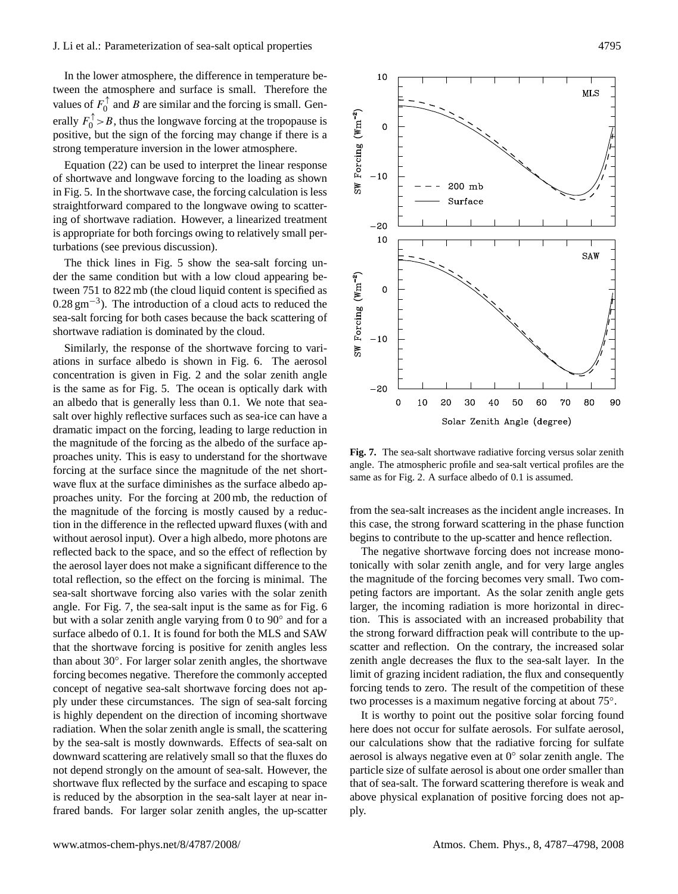In the lower atmosphere, the difference in temperature between the atmosphere and surface is small. Therefore the values of  $F_0^{\uparrow}$  $\int_0^1$  and *B* are similar and the forcing is small. Generally  $F_0^{\uparrow} > B$ , thus the longwave forcing at the tropopause is positive, but the sign of the forcing may change if there is a strong temperature inversion in the lower atmosphere.

Equation (22) can be used to interpret the linear response of shortwave and longwave forcing to the loading as shown in Fig. [5.](#page-7-0) In the shortwave case, the forcing calculation is less straightforward compared to the longwave owing to scattering of shortwave radiation. However, a linearized treatment is appropriate for both forcings owing to relatively small perturbations (see previous discussion).

The thick lines in Fig. [5](#page-7-0) show the sea-salt forcing under the same condition but with a low cloud appearing between 751 to 822 mb (the cloud liquid content is specified as  $0.28 \text{ gm}^{-3}$ ). The introduction of a cloud acts to reduced the sea-salt forcing for both cases because the back scattering of shortwave radiation is dominated by the cloud.

Similarly, the response of the shortwave forcing to variations in surface albedo is shown in Fig. [6.](#page-7-1) The aerosol concentration is given in Fig. [2](#page-2-0) and the solar zenith angle is the same as for Fig. [5.](#page-7-0) The ocean is optically dark with an albedo that is generally less than 0.1. We note that seasalt over highly reflective surfaces such as sea-ice can have a dramatic impact on the forcing, leading to large reduction in the magnitude of the forcing as the albedo of the surface approaches unity. This is easy to understand for the shortwave forcing at the surface since the magnitude of the net shortwave flux at the surface diminishes as the surface albedo approaches unity. For the forcing at 200 mb, the reduction of the magnitude of the forcing is mostly caused by a reduction in the difference in the reflected upward fluxes (with and without aerosol input). Over a high albedo, more photons are reflected back to the space, and so the effect of reflection by the aerosol layer does not make a significant difference to the total reflection, so the effect on the forcing is minimal. The sea-salt shortwave forcing also varies with the solar zenith angle. For Fig. [7,](#page-8-0) the sea-salt input is the same as for Fig. 6 but with a solar zenith angle varying from 0 to 90° and for a surface albedo of 0.1. It is found for both the MLS and SAW that the shortwave forcing is positive for zenith angles less than about 30◦ . For larger solar zenith angles, the shortwave forcing becomes negative. Therefore the commonly accepted concept of negative sea-salt shortwave forcing does not apply under these circumstances. The sign of sea-salt forcing is highly dependent on the direction of incoming shortwave radiation. When the solar zenith angle is small, the scattering by the sea-salt is mostly downwards. Effects of sea-salt on downward scattering are relatively small so that the fluxes do not depend strongly on the amount of sea-salt. However, the shortwave flux reflected by the surface and escaping to space is reduced by the absorption in the sea-salt layer at near infrared bands. For larger solar zenith angles, the up-scatter



<span id="page-8-0"></span>**Fig. 7.** The sea-salt shortwave radiative forcing versus solar zenith angle. The atmospheric profile and sea-salt vertical profiles are the same as for Fig. [2.](#page-2-0) A surface albedo of 0.1 is assumed.

from the sea-salt increases as the incident angle increases. In this case, the strong forward scattering in the phase function begins to contribute to the up-scatter and hence reflection.

as for Fig. 6 larger, the incoming radiation is more horizontal in direc- $90^\circ$  and for a tion. This is associated with an increased probability that  $5^\circ$ The negative shortwave forcing does not increase monotonically with solar zenith angle, and for very large angles the magnitude of the forcing becomes very small. Two competing factors are important. As the solar zenith angle gets the strong forward diffraction peak will contribute to the upscatter and reflection. On the contrary, the increased solar zenith angle decreases the flux to the sea-salt layer. In the limit of grazing incident radiation, the flux and consequently forcing tends to zero. The result of the competition of these two processes is a maximum negative forcing at about 75◦ .

> 26 here does not occur for sulfate aerosols. For sulfate aerosol, It is worthy to point out the positive solar forcing found our calculations show that the radiative forcing for sulfate aerosol is always negative even at 0◦ solar zenith angle. The particle size of sulfate aerosol is about one order smaller than that of sea-salt. The forward scattering therefore is weak and above physical explanation of positive forcing does not apply.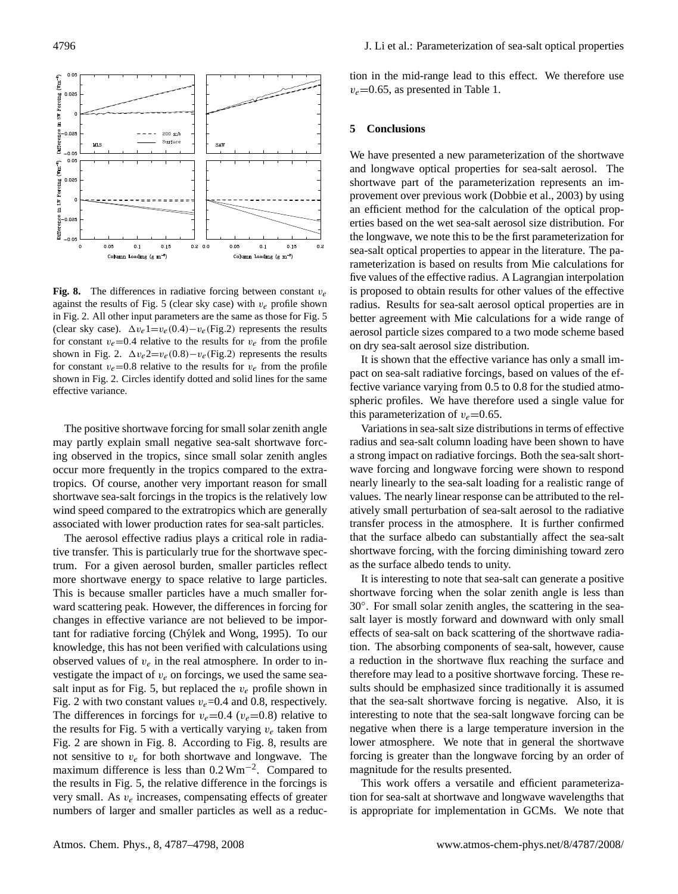

<span id="page-9-0"></span>for constant  $v_e$ =0.8 relative to the results for  $v_e$  from the profile shown in Fig. [2.](#page-2-0) Circles identify dotted and solid lines for the same effective variance. **Fig. 8.** The differences in radiative forcing between constant  $v_e$ against the results of Fig. [5](#page-7-0) (clear sky case) with  $v_e$  profile shown in Fig. [2.](#page-2-0) All other input parameters are the same as those for Fig. [5](#page-7-0) (clear sky case).  $\Delta v_e 1=v_e(0.4)-v_e(Fig.2)$  $\Delta v_e 1=v_e(0.4)-v_e(Fig.2)$  $\Delta v_e 1=v_e(0.4)-v_e(Fig.2)$  represents the results for constant  $v_e$ =0.4 relative to the results for  $v_e$  from the profile shown in Fig. [2.](#page-2-0)  $\Delta v_e^2=v_e(0.8)-v_e(Fig.2)$  $\Delta v_e^2=v_e(0.8)-v_e(Fig.2)$  $\Delta v_e^2=v_e(0.8)-v_e(Fig.2)$  represents the results

The positive shortwave forcing for small solar zenith angle may partly explain small negative sea-salt shortwave forcing observed in the tropics, since small solar zenith angles occur more frequently in the tropics compared to the extratropics. Of course, another very important reason for small shortwave sea-salt forcings in the tropics is the relatively low wind speed compared to the extratropics which are generally associated with lower production rates for sea-salt particles.

The aerosol effective radius plays a critical role in radiative transfer. This is particularly true for the shortwave spectrum. For a given aerosol burden, smaller particles reflect more shortwave energy to space relative to large particles. This is because smaller particles have a much smaller forward scattering peak. However, the differences in forcing for changes in effective variance are not believed to be impor-tant for radiative forcing [\(Chylek and Wong](#page-10-24), [1995\)](#page-10-24). To our knowledge, this has not been verified with calculations using observed values of  $v_e$  in the real atmosphere. In order to investigate the impact of  $v_e$  on forcings, we used the same sea-salt input as for Fig. [5,](#page-7-0) but replaced the  $v_e$  profile shown in Fig. [2](#page-2-0) with two constant values  $v_e$ =0.4 and 0.8, respectively. The differences in forcings for  $v_e$ =0.4 ( $v_e$ =0.8) relative to the results for Fig. [5](#page-7-0) with a vertically varying  $v_e$  taken from Fig. [2](#page-2-0) are shown in Fig. [8.](#page-9-0) According to Fig. [8,](#page-9-0) results are not sensitive to  $v_e$  for both shortwave and longwave. The maximum difference is less than  $0.2 \text{ Wm}^{-2}$ . Compared to the results in Fig. [5,](#page-7-0) the relative difference in the forcings is very small. As  $v_e$  increases, compensating effects of greater numbers of larger and smaller particles as well as a reduction in the mid-range lead to this effect. We therefore use  $v_e$ =0.65, as presented in Table 1.

## **5 Conclusions**

We have presented a new parameterization of the shortwave and longwave optical properties for sea-salt aerosol. The shortwave part of the parameterization represents an improvement over previous work [\(Dobbie et al.,](#page-10-5) [2003\)](#page-10-5) by using an efficient method for the calculation of the optical properties based on the wet sea-salt aerosol size distribution. For the longwave, we note this to be the first parameterization for sea-salt optical properties to appear in the literature. The parameterization is based on results from Mie calculations for five values of the effective radius. A Lagrangian interpolation is proposed to obtain results for other values of the effective radius. Results for sea-salt aerosol optical properties are in better agreement with Mie calculations for a wide range of aerosol particle sizes compared to a two mode scheme based on dry sea-salt aerosol size distribution.

It is shown that the effective variance has only a small impact on sea-salt radiative forcings, based on values of the effective variance varying from 0.5 to 0.8 for the studied atmospheric profiles. We have therefore used a single value for this parameterization of  $v_e$ =0.65.

Variations in sea-salt size distributions in terms of effective radius and sea-salt column loading have been shown to have a strong impact on radiative forcings. Both the sea-salt shortwave forcing and longwave forcing were shown to respond nearly linearly to the sea-salt loading for a realistic range of values. The nearly linear response can be attributed to the relatively small perturbation of sea-salt aerosol to the radiative transfer process in the atmosphere. It is further confirmed that the surface albedo can substantially affect the sea-salt shortwave forcing, with the forcing diminishing toward zero as the surface albedo tends to unity.

It is interesting to note that sea-salt can generate a positive shortwave forcing when the solar zenith angle is less than 30◦ . For small solar zenith angles, the scattering in the seasalt layer is mostly forward and downward with only small effects of sea-salt on back scattering of the shortwave radiation. The absorbing components of sea-salt, however, cause a reduction in the shortwave flux reaching the surface and therefore may lead to a positive shortwave forcing. These results should be emphasized since traditionally it is assumed that the sea-salt shortwave forcing is negative. Also, it is interesting to note that the sea-salt longwave forcing can be negative when there is a large temperature inversion in the lower atmosphere. We note that in general the shortwave forcing is greater than the longwave forcing by an order of magnitude for the results presented.

This work offers a versatile and efficient parameterization for sea-salt at shortwave and longwave wavelengths that is appropriate for implementation in GCMs. We note that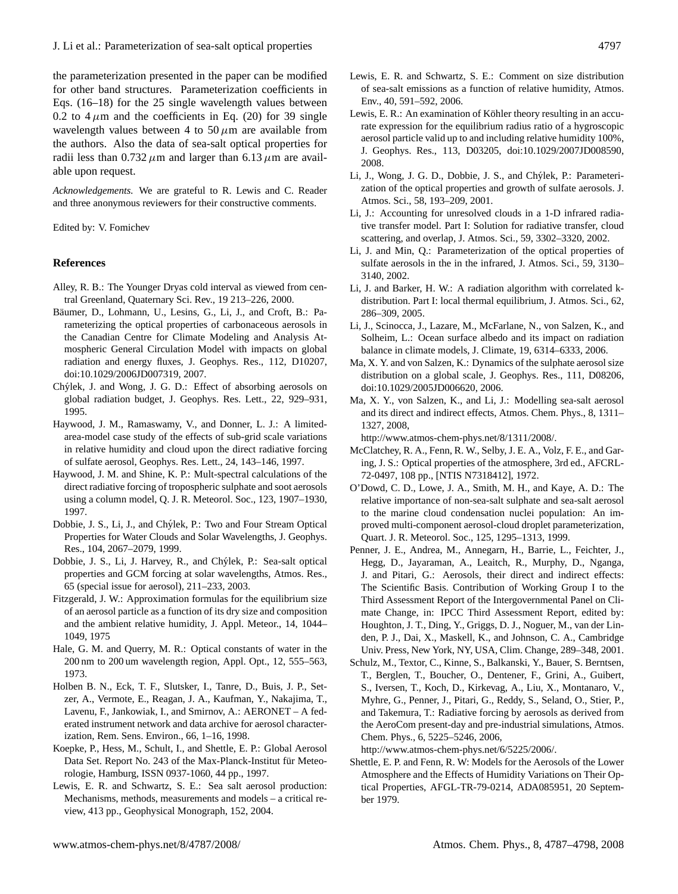the parameterization presented in the paper can be modified for other band structures. Parameterization coefficients in Eqs. (16–18) for the 25 single wavelength values between 0.2 to  $4 \mu$ m and the coefficients in Eq. (20) for 39 single wavelength values between 4 to 50  $\mu$ m are available from the authors. Also the data of sea-salt optical properties for radii less than  $0.732 \mu m$  and larger than  $6.13 \mu m$  are available upon request.

*Acknowledgements.* We are grateful to R. Lewis and C. Reader and three anonymous reviewers for their constructive comments.

Edited by: V. Fomichev

### **References**

- <span id="page-10-2"></span>Alley, R. B.: The Younger Dryas cold interval as viewed from central Greenland, Quaternary Sci. Rev., 19 213–226, 2000.
- <span id="page-10-7"></span>Bäumer, D., Lohmann, U., Lesins, G., Li, J., and Croft, B.: Parameterizing the optical properties of carbonaceous aerosols in the Canadian Centre for Climate Modeling and Analysis Atmospheric General Circulation Model with impacts on global radiation and energy fluxes, J. Geophys. Res., 112, D10207, doi:10.1029/2006JD007319, 2007.
- <span id="page-10-24"></span>Chylek, J. and Wong, J. G. D.: Effect of absorbing aerosols on ´ global radiation budget, J. Geophys. Res. Lett., 22, 929–931, 1995.
- <span id="page-10-0"></span>Haywood, J. M., Ramaswamy, V., and Donner, L. J.: A limitedarea-model case study of the effects of sub-grid scale variations in relative humidity and cloud upon the direct radiative forcing of sulfate aerosol, Geophys. Res. Lett., 24, 143–146, 1997.
- Haywood, J. M. and Shine, K. P.: Mult-spectral calculations of the direct radiative forcing of tropospheric sulphate and soot aerosols using a column model, Q. J. R. Meteorol. Soc., 123, 1907–1930, 1997.
- <span id="page-10-19"></span>Dobbie, J. S., Li, J., and Chylek, P.: Two and Four Stream Optical ´ Properties for Water Clouds and Solar Wavelengths, J. Geophys. Res., 104, 2067–2079, 1999.
- <span id="page-10-5"></span>Dobbie, J. S., Li, J. Harvey, R., and Chylek, P.: Sea-salt optical ´ properties and GCM forcing at solar wavelengths, Atmos. Res., 65 (special issue for aerosol), 211–233, 2003.
- <span id="page-10-9"></span>Fitzgerald, J. W.: Approximation formulas for the equilibrium size of an aerosol particle as a function of its dry size and composition and the ambient relative humidity, J. Appl. Meteor., 14, 1044– 1049, 1975
- <span id="page-10-15"></span>Hale, G. M. and Querry, M. R.: Optical constants of water in the 200 nm to 200 um wavelength region, Appl. Opt., 12, 555–563, 1973.
- <span id="page-10-11"></span>Holben B. N., Eck, T. F., Slutsker, I., Tanre, D., Buis, J. P., Setzer, A., Vermote, E., Reagan, J. A., Kaufman, Y., Nakajima, T., Lavenu, F., Jankowiak, I., and Smirnov, A.: AERONET – A federated instrument network and data archive for aerosol characterization, Rem. Sens. Environ., 66, 1–16, 1998.
- <span id="page-10-12"></span>Koepke, P., Hess, M., Schult, I., and Shettle, E. P.: Global Aerosol Data Set. Report No. 243 of the Max-Planck-Institut für Meteorologie, Hamburg, ISSN 0937-1060, 44 pp., 1997.
- <span id="page-10-8"></span>Lewis, E. R. and Schwartz, S. E.: Sea salt aerosol production: Mechanisms, methods, measurements and models – a critical review, 413 pp., Geophysical Monograph, 152, 2004.
- <span id="page-10-13"></span>Lewis, E. R. and Schwartz, S. E.: Comment on size distribution of sea-salt emissions as a function of relative humidity, Atmos. Env., 40, 591–592, 2006.
- <span id="page-10-14"></span>Lewis, E. R.: An examination of Köhler theory resulting in an accurate expression for the equilibrium radius ratio of a hygroscopic aerosol particle valid up to and including relative humidity 100%, J. Geophys. Res., 113, D03205, doi:10.1029/2007JD008590, 2008.
- <span id="page-10-18"></span>Li, J., Wong, J. G. D., Dobbie, J. S., and Chýlek, P.: Parameterization of the optical properties and growth of sulfate aerosols. J. Atmos. Sci., 58, 193–209, 2001.
- <span id="page-10-17"></span>Li, J.: Accounting for unresolved clouds in a 1-D infrared radiative transfer model. Part I: Solution for radiative transfer, cloud scattering, and overlap, J. Atmos. Sci., 59, 3302–3320, 2002.
- <span id="page-10-6"></span>Li, J. and Min, Q.: Parameterization of the optical properties of sulfate aerosols in the in the infrared, J. Atmos. Sci., 59, 3130– 3140, 2002.
- <span id="page-10-21"></span>Li, J. and Barker, H. W.: A radiation algorithm with correlated kdistribution. Part I: local thermal equilibrium, J. Atmos. Sci., 62, 286–309, 2005.
- <span id="page-10-1"></span>Li, J., Scinocca, J., Lazare, M., McFarlane, N., von Salzen, K., and Solheim, L.: Ocean surface albedo and its impact on radiation balance in climate models, J. Climate, 19, 6314–6333, 2006.
- <span id="page-10-10"></span>Ma, X. Y. and von Salzen, K.: Dynamics of the sulphate aerosol size distribution on a global scale, J. Geophys. Res., 111, D08206, doi:10.1029/2005JD006620, 2006.
- <span id="page-10-20"></span>Ma, X. Y., von Salzen, K., and Li, J.: Modelling sea-salt aerosol and its direct and indirect effects, Atmos. Chem. Phys., 8, 1311– 1327, 2008,

[http://www.atmos-chem-phys.net/8/1311/2008/.](http://www.atmos-chem-phys.net/8/1311/2008/)

- <span id="page-10-22"></span>McClatchey, R. A., Fenn, R. W., Selby, J. E. A., Volz, F. E., and Garing, J. S.: Optical properties of the atmosphere, 3rd ed., AFCRL-72-0497, 108 pp., [NTIS N7318412], 1972.
- <span id="page-10-4"></span>O'Dowd, C. D., Lowe, J. A., Smith, M. H., and Kaye, A. D.: The relative importance of non-sea-salt sulphate and sea-salt aerosol to the marine cloud condensation nuclei population: An improved multi-component aerosol-cloud droplet parameterization, Quart. J. R. Meteorol. Soc., 125, 1295–1313, 1999.
- <span id="page-10-3"></span>Penner, J. E., Andrea, M., Annegarn, H., Barrie, L., Feichter, J., Hegg, D., Jayaraman, A., Leaitch, R., Murphy, D., Nganga, J. and Pitari, G.: Aerosols, their direct and indirect effects: The Scientific Basis. Contribution of Working Group I to the Third Assessment Report of the Intergovernmental Panel on Climate Change, in: IPCC Third Assessment Report, edited by: Houghton, J. T., Ding, Y., Griggs, D. J., Noguer, M., van der Linden, P. J., Dai, X., Maskell, K., and Johnson, C. A., Cambridge Univ. Press, New York, NY, USA, Clim. Change, 289–348, 2001.
- <span id="page-10-23"></span>Schulz, M., Textor, C., Kinne, S., Balkanski, Y., Bauer, S. Berntsen, T., Berglen, T., Boucher, O., Dentener, F., Grini, A., Guibert, S., Iversen, T., Koch, D., Kirkevag, A., Liu, X., Montanaro, V., Myhre, G., Penner, J., Pitari, G., Reddy, S., Seland, O., Stier, P., and Takemura, T.: Radiative forcing by aerosols as derived from the AeroCom present-day and pre-industrial simulations, Atmos. Chem. Phys., 6, 5225–5246, 2006,

[http://www.atmos-chem-phys.net/6/5225/2006/.](http://www.atmos-chem-phys.net/6/5225/2006/)

<span id="page-10-16"></span>Shettle, E. P. and Fenn, R. W: Models for the Aerosols of the Lower Atmosphere and the Effects of Humidity Variations on Their Optical Properties, AFGL-TR-79-0214, ADA085951, 20 September 1979.